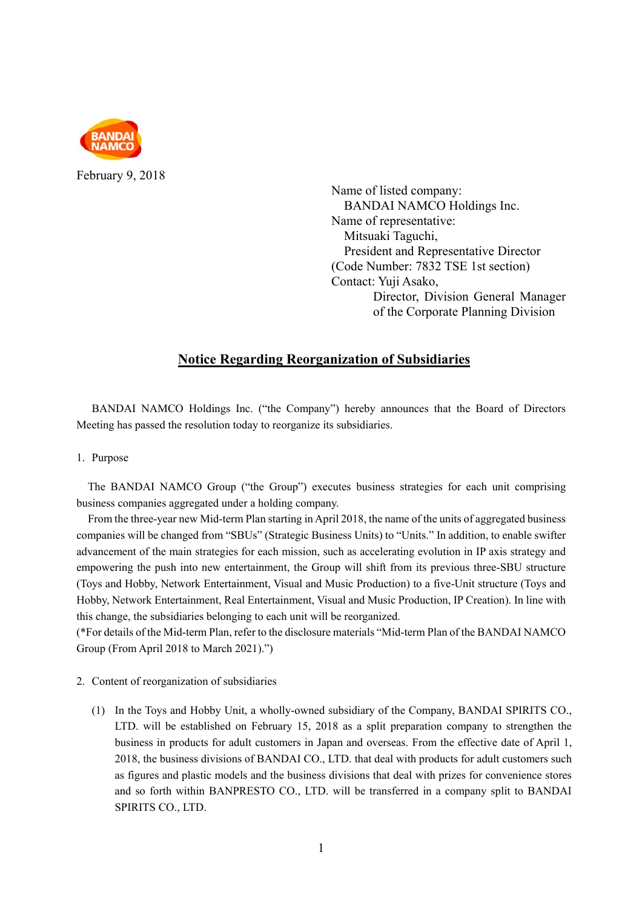

February 9, 2018

Name of listed company: BANDAI NAMCO Holdings Inc. Name of representative: Mitsuaki Taguchi, President and Representative Director (Code Number: 7832 TSE 1st section) Contact: Yuji Asako, Director, Division General Manager of the Corporate Planning Division

## **Notice Regarding Reorganization of Subsidiaries**

BANDAI NAMCO Holdings Inc. ("the Company") hereby announces that the Board of Directors Meeting has passed the resolution today to reorganize its subsidiaries.

1. Purpose

The BANDAI NAMCO Group ("the Group") executes business strategies for each unit comprising business companies aggregated under a holding company.

From the three-year new Mid-term Plan starting in April 2018, the name of the units of aggregated business companies will be changed from "SBUs" (Strategic Business Units) to "Units." In addition, to enable swifter advancement of the main strategies for each mission, such as accelerating evolution in IP axis strategy and empowering the push into new entertainment, the Group will shift from its previous three-SBU structure (Toys and Hobby, Network Entertainment, Visual and Music Production) to a five-Unit structure (Toys and Hobby, Network Entertainment, Real Entertainment, Visual and Music Production, IP Creation). In line with this change, the subsidiaries belonging to each unit will be reorganized.

(\*For details of the Mid-term Plan, refer to the disclosure materials "Mid-term Plan of the BANDAI NAMCO Group (From April 2018 to March 2021).")

- 2. Content of reorganization of subsidiaries
	- (1) In the Toys and Hobby Unit, a wholly-owned subsidiary of the Company, BANDAI SPIRITS CO., LTD. will be established on February 15, 2018 as a split preparation company to strengthen the business in products for adult customers in Japan and overseas. From the effective date of April 1, 2018, the business divisions of BANDAI CO., LTD. that deal with products for adult customers such as figures and plastic models and the business divisions that deal with prizes for convenience stores and so forth within BANPRESTO CO., LTD. will be transferred in a company split to BANDAI SPIRITS CO., LTD.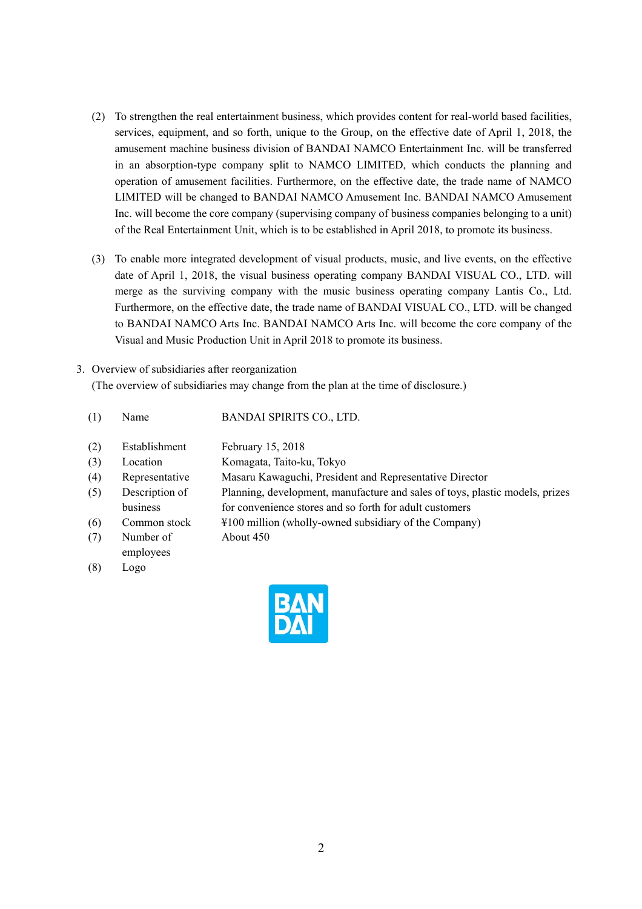- (2) To strengthen the real entertainment business, which provides content for real-world based facilities, services, equipment, and so forth, unique to the Group, on the effective date of April 1, 2018, the amusement machine business division of BANDAI NAMCO Entertainment Inc. will be transferred in an absorption-type company split to NAMCO LIMITED, which conducts the planning and operation of amusement facilities. Furthermore, on the effective date, the trade name of NAMCO LIMITED will be changed to BANDAI NAMCO Amusement Inc. BANDAI NAMCO Amusement Inc. will become the core company (supervising company of business companies belonging to a unit) of the Real Entertainment Unit, which is to be established in April 2018, to promote its business.
- (3) To enable more integrated development of visual products, music, and live events, on the effective date of April 1, 2018, the visual business operating company BANDAI VISUAL CO., LTD. will merge as the surviving company with the music business operating company Lantis Co., Ltd. Furthermore, on the effective date, the trade name of BANDAI VISUAL CO., LTD. will be changed to BANDAI NAMCO Arts Inc. BANDAI NAMCO Arts Inc. will become the core company of the Visual and Music Production Unit in April 2018 to promote its business.
- 3. Overview of subsidiaries after reorganization (The overview of subsidiaries may change from the plan at the time of disclosure.)
	- (1) Name BANDAI SPIRITS CO., LTD.

About 450

(2) Establishment February 15, 2018

| (3) | Location | Komagata, Taito-ku, Tokyo |
|-----|----------|---------------------------|
|-----|----------|---------------------------|

- (4) Representative Masaru Kawaguchi, President and Representative Director
- (5) Description of Planning, development, manufacture and sales of toys, plastic models, prizes
- business for convenience stores and so forth for adult customers
- (6) Common stock ¥100 million (wholly-owned subsidiary of the Company)
- (7) Number of employees
- (8) Logo